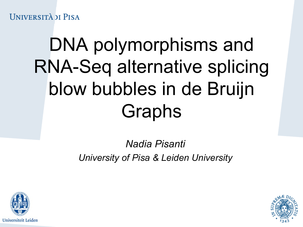**UNIVERSITÀ DI PISA** 

## DNA polymorphisms and RNA-Seq alternative splicing blow bubbles in de Bruijn Graphs

#### *Nadia Pisanti University of Pisa & Leiden University*



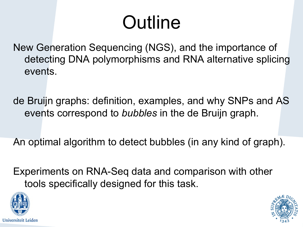#### **Outline**

New Generation Sequencing (NGS), and the importance of detecting DNA polymorphisms and RNA alternative splicing events.

de Bruijn graphs: definition, examples, and why SNPs and AS events correspond to *bubbles* in the de Bruijn graph.

An optimal algorithm to detect bubbles (in any kind of graph).

Experiments on RNA-Seq data and comparison with other tools specifically designed for this task.



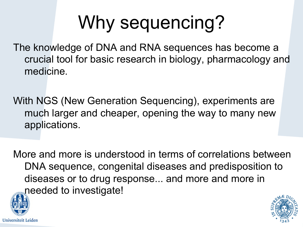## Why sequencing?

The knowledge of DNA and RNA sequences has become a crucial tool for basic research in biology, pharmacology and medicine.

With NGS (New Generation Sequencing), experiments are much larger and cheaper, opening the way to many new applications.

More and more is understood in terms of correlations between DNA sequence, congenital diseases and predisposition to diseases or to drug response... and more and more in needed to investigate!



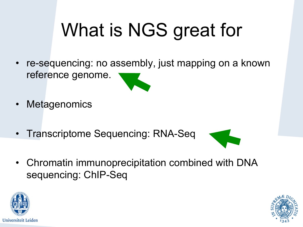# What is NGS great for

- re-sequencing: no assembly, just mapping on a known reference genome.
- **Metagenomics**
- Transcriptome Sequencing: RNA-Seq
- 
- Chromatin immunoprecipitation combined with DNA sequencing: ChIP-Seq



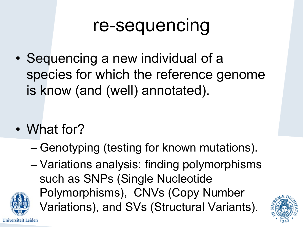#### re-sequencing

• Sequencing a new individual of a species for which the reference genome is know (and (well) annotated).

- What for?
	- Genotyping (testing for known mutations).
	- Variations analysis: finding polymorphisms such as SNPs (Single Nucleotide Polymorphisms), CNVs (Copy Number Variations), and SVs (Structural Variants).

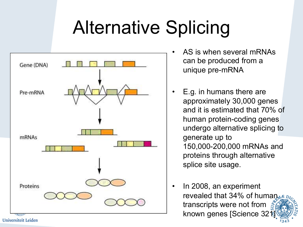#### Alternative Splicing



- AS is when several mRNAs can be produced from a unique pre-mRNA
- E.g. in humans there are approximately 30,000 genes and it is estimated that 70% of human protein-coding genes undergo alternative splicing to generate up to 150,000-200,000 mRNAs and proteins through alternative splice site usage.
- In 2008, an experiment revealed that  $34\%$  of human transcripts were not from known genes [Science 32]

Universiteit Leiden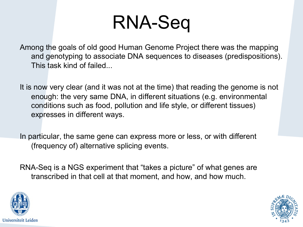#### RNA-Seq

Among the goals of old good Human Genome Project there was the mapping and genotyping to associate DNA sequences to diseases (predispositions). This task kind of failed...

It is now very clear (and it was not at the time) that reading the genome is not enough: the very same DNA, in different situations (e.g. environmental conditions such as food, pollution and life style, or different tissues) expresses in different ways.

In particular, the same gene can express more or less, or with different (frequency of) alternative splicing events.

RNA-Seq is a NGS experiment that "takes a picture" of what genes are transcribed in that cell at that moment, and how, and how much.



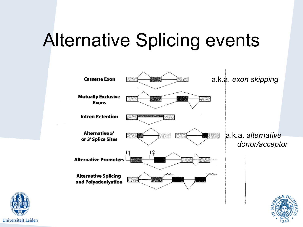#### Alternative Splicing events



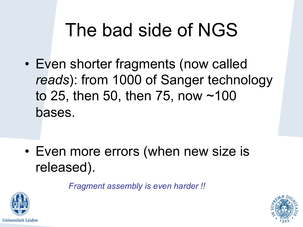#### The bad side of NGS

• Even shorter fragments (now called *reads*): from 1000 of Sanger technology to 25, then 50, then 75, now ~100 bases.

• Even more errors (when new size is released).

*Fragment assembly is even harder !!* 



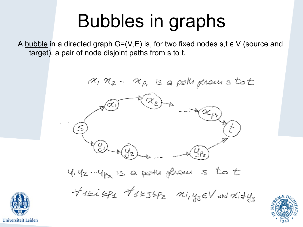#### Bubbles in graphs

A bubble in a directed graph  $G=(V,E)$  is, for two fixed nodes s,t  $\epsilon V$  (source and target), a pair of node disjoint paths from s to t.

 $\alpha_1\,\alpha_2\ldots\,\alpha_p$ , is a pollificaus tot  $(\mathcal{X}_2)$  $\begin{picture}(120,115) \put(0,0){\vector(1,0){15}} \put(15,0){\vector(1,0){15}} \put(15,0){\vector(1,0){15}} \put(15,0){\vector(1,0){15}} \put(15,0){\vector(1,0){15}} \put(15,0){\vector(1,0){15}} \put(15,0){\vector(1,0){15}} \put(15,0){\vector(1,0){15}} \put(15,0){\vector(1,0){15}} \put(15,0){\vector(1,0){15}} \put(15,0){\vector(1,0){15}} \put(15,0){\vector$  $442 - 462$  is a porter fleaver s to t TILLIPE TILSEPE Mi, yseV and difys

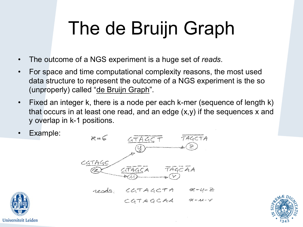### The de Bruijn Graph

- The outcome of a NGS experiment is a huge set of *reads*.
- For space and time computational complexity reasons, the most used data structure to represent the outcome of a NGS experiment is the so (unproperly) called "de Bruijn Graph".
- Fixed an integer k, there is a node per each k-mer (sequence of length k) that occurs in at least one read, and an edge (x,y) if the sequences x and y overlap in k-1 positions.
- Example:





CGTAGCAA A-11-V

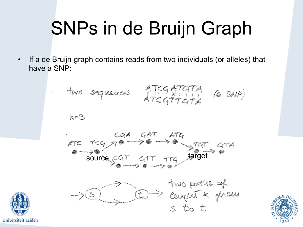# SNPs in de Bruijn Graph

• If a de Bruijn graph contains reads from two individuals (or alleles) that have a SNP:

$$
\mathbb{R}^{\pm\mathbb{Z}}
$$







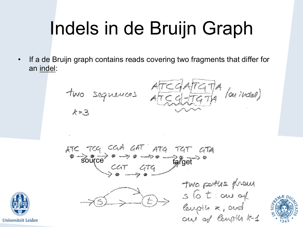## Indels in de Bruijn Graph

• If a de Bruijn graph contains reads covering two fragments that differ for an indel:

two sequences 
$$
\frac{ATCGATGTA}{ACEGTTGTA}
$$
 (or in each)

$$
ABC = TCA
$$
  $CAA$   $CAT$   $ATA$   $TAT$   $ATA$   
\n $CAT = ATA$   $ATB$   
\n $CT = ATA$   $ATB$   $CTA$   $ATAB$ 



Two parties phone

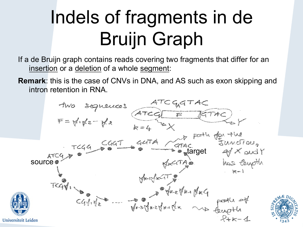### Indels of fragments in de Bruijn Graph

If a de Bruijn graph contains reads covering two fragments that differ for an insertion or a deletion of a whole segment:

**Remark**: this is the case of CNVs in DNA, and AS such as exon skipping and intron retention in RNA.

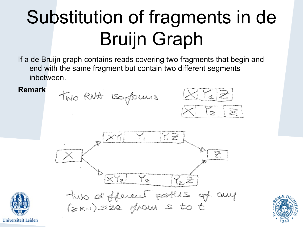### Substitution of fragments in de Bruijn Graph

If a de Bruijn graph contains reads covering two fragments that begin and end with the same fragment but contain two different segments inbetween.





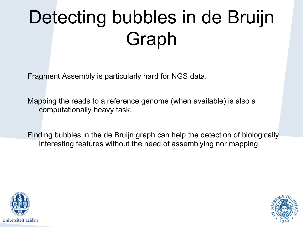## Detecting bubbles in de Bruijn Graph

Fragment Assembly is particularly hard for NGS data.

Mapping the reads to a reference genome (when available) is also a computationally heavy task.

Finding bubbles in the de Bruijn graph can help the detection of biologically interesting features without the need of assemblying nor mapping.



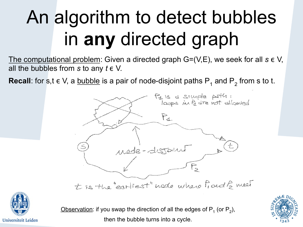## An algorithm to detect bubbles in **any** directed graph

The computational problem: Given a directed graph G=(V,E), we seek for all *s* ∈ V, all the bubbles from  $s$  to any  $t \in V$ .

**Recall**: for s,t  $\in$  V, a <u>bubble</u> is a pair of node-disjoint paths P<sub>1</sub> and P<sub>2</sub> from s to t.





Observation: if you swap the direction of all the edges of  $P_1$  (or  $P_2$ ), then the bubble turns into a cycle.

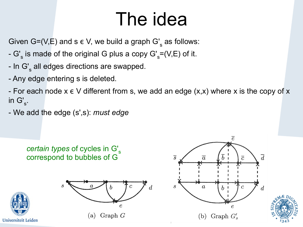#### The idea

Given G=(V,E) and s  $\epsilon$  V, we build a graph G'<sub>s</sub> as follows:

- G'<sub>s</sub> is made of the original G plus a copy G'<sub>s</sub>=(V,E) of it.
- In G'<sub>s</sub> all edges directions are swapped.
- Any edge entering s is deleted.

- For each node  $x \in V$  different from s, we add an edge  $(x,x)$  where x is the copy of x in  $G'_{s}$ .

- We add the edge (s',s): *must edge*



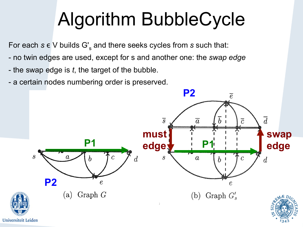### Algorithm BubbleCycle

For each  $s \in V$  builds  $G_s$  and there seeks cycles from  $s$  such that:

- no twin edges are used, except for s and another one: the *swap edge*
- the swap edge is *t*, the target of the bubble.
- a certain nodes numbering order is preserved.



Universiteit Leiden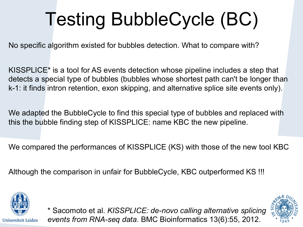# Testing BubbleCycle (BC)

No specific algorithm existed for bubbles detection. What to compare with?

KISSPLICE\* is a tool for AS events detection whose pipeline includes a step that detects a special type of bubbles (bubbles whose shortest path can't be longer than k-1: it finds intron retention, exon skipping, and alternative splice site events only).

We adapted the BubbleCycle to find this special type of bubbles and replaced with this the bubble finding step of KISSPLICE: name KBC the new pipeline.

We compared the performances of KISSPLICE (KS) with those of the new tool KBC

Although the comparison in unfair for BubbleCycle, KBC outperformed KS !!!





\* Sacomoto et al. *KISSPLICE: de-novo calling alternative splicing events from RNA-seq data*. BMC Bioinformatics 13(6):55, 2012.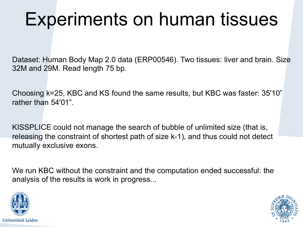#### Experiments on human tissues

Dataset: Human Body Map 2.0 data (ERP00546). Two tissues: liver and brain. Size 32M and 29M. Read length 75 bp.

Choosing k=25, KBC and KS found the same results, but KBC was faster: 35'10" rather than 54'01".

KISSPLICE could not manage the search of bubble of unlimited size (that is, releasing the constraint of shortest path of size k-1), and thus could not detect mutually exclusive exons.

We run KBC without the constraint and the computation ended successful: the analysis of the results is work in progress...